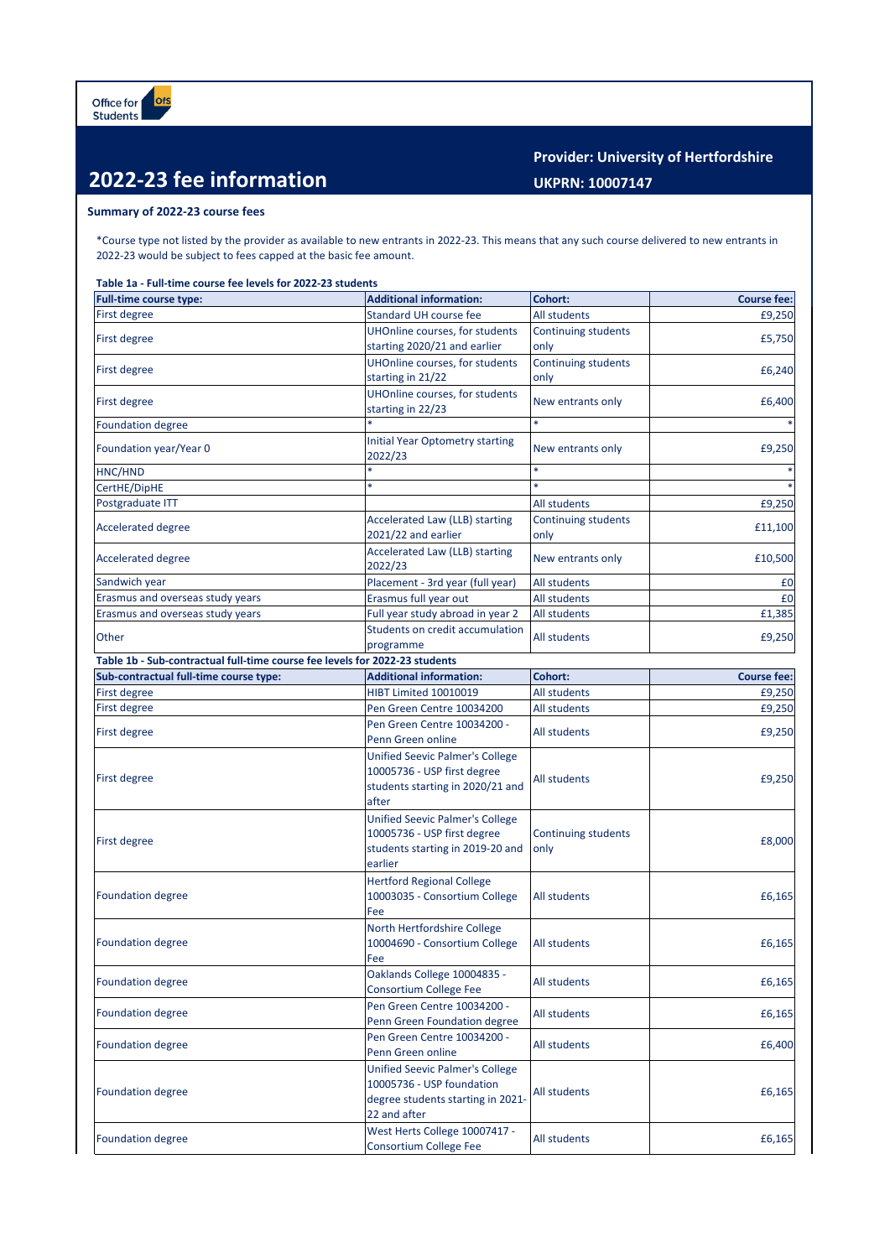## **2022-23 fee information**

**Provider: University of Hertfordshire UKPRN: 10007147**

## **Summary of 2022-23 course fees**

\*Course type not listed by the provider as available to new entrants in 2022-23. This means that any such course delivered to new entrants in 2022-23 would be subject to fees capped at the basic fee amount.

**Table 1a - Full-time course fee levels for 2022-23 students**

| Full-time course type:                                                      | <b>Additional information:</b>                                                                                           | <b>Cohort:</b>                     | <b>Course fee:</b> |
|-----------------------------------------------------------------------------|--------------------------------------------------------------------------------------------------------------------------|------------------------------------|--------------------|
| First degree                                                                | Standard UH course fee                                                                                                   | All students                       | £9,250             |
| First degree                                                                | UHOnline courses, for students<br>starting 2020/21 and earlier                                                           | <b>Continuing students</b><br>only | £5,750             |
| First degree                                                                | UHOnline courses, for students<br>starting in 21/22                                                                      | <b>Continuing students</b><br>only | £6,240             |
| First degree                                                                | UHOnline courses, for students<br>starting in 22/23                                                                      | New entrants only                  | £6,400             |
| <b>Foundation degree</b>                                                    |                                                                                                                          |                                    |                    |
| Foundation year/Year 0                                                      | <b>Initial Year Optometry starting</b><br>2022/23                                                                        | New entrants only                  | £9,250             |
| HNC/HND                                                                     | $\ast$                                                                                                                   | $\ast$                             |                    |
| CertHE/DipHE                                                                | $\ast$                                                                                                                   |                                    |                    |
| Postgraduate ITT                                                            |                                                                                                                          | <b>All students</b>                | £9,250             |
| <b>Accelerated degree</b>                                                   | Accelerated Law (LLB) starting<br>2021/22 and earlier                                                                    | Continuing students<br>only        | £11,100            |
| <b>Accelerated degree</b>                                                   | Accelerated Law (LLB) starting<br>2022/23                                                                                | New entrants only                  | £10,500            |
| Sandwich year                                                               | Placement - 3rd year (full year)                                                                                         | All students                       | £0                 |
| Erasmus and overseas study years                                            | Erasmus full year out                                                                                                    | All students                       | £0                 |
| Erasmus and overseas study years                                            | Full year study abroad in year 2                                                                                         | All students                       | £1,385             |
| Other                                                                       | Students on credit accumulation<br>programme                                                                             | All students                       | £9,250             |
| Table 1b - Sub-contractual full-time course fee levels for 2022-23 students |                                                                                                                          |                                    |                    |
| Sub-contractual full-time course type:                                      | <b>Additional information:</b>                                                                                           | Cohort:                            | <b>Course fee:</b> |
| First degree                                                                | HIBT Limited 10010019                                                                                                    | All students                       | £9,250             |
| First degree                                                                | Pen Green Centre 10034200                                                                                                | All students                       | £9,250             |
| First degree                                                                | Pen Green Centre 10034200 -<br>Penn Green online                                                                         | All students                       | £9,250             |
| First degree                                                                | <b>Unified Seevic Palmer's College</b><br>10005736 - USP first degree<br>students starting in 2020/21 and<br>after       | All students                       | £9,250             |
| First degree                                                                | <b>Unified Seevic Palmer's College</b><br>10005736 - USP first degree<br>students starting in 2019-20 and<br>earlier     | Continuing students<br>only        | £8,000             |
| <b>Foundation degree</b>                                                    | <b>Hertford Regional College</b><br>10003035 - Consortium College<br>Fee                                                 | All students                       | £6,165             |
| <b>Foundation degree</b>                                                    | North Hertfordshire College<br>10004690 - Consortium College<br>Fee                                                      | All students                       | £6,165             |
| <b>Foundation degree</b>                                                    | Oaklands College 10004835 -<br>Consortium College Fee                                                                    | All students                       | £6,165             |
| <b>Foundation degree</b>                                                    | Pen Green Centre 10034200 -<br>Penn Green Foundation degree                                                              | <b>All students</b>                | £6,165             |
| <b>Foundation degree</b>                                                    | Pen Green Centre 10034200 -<br>Penn Green online                                                                         | All students                       | £6,400             |
| <b>Foundation degree</b>                                                    | <b>Unified Seevic Palmer's College</b><br>10005736 - USP foundation<br>degree students starting in 2021-<br>22 and after | <b>All students</b>                | £6,165             |
| <b>Foundation degree</b>                                                    | West Herts College 10007417 -<br>Consortium College Fee                                                                  | All students                       | £6,165             |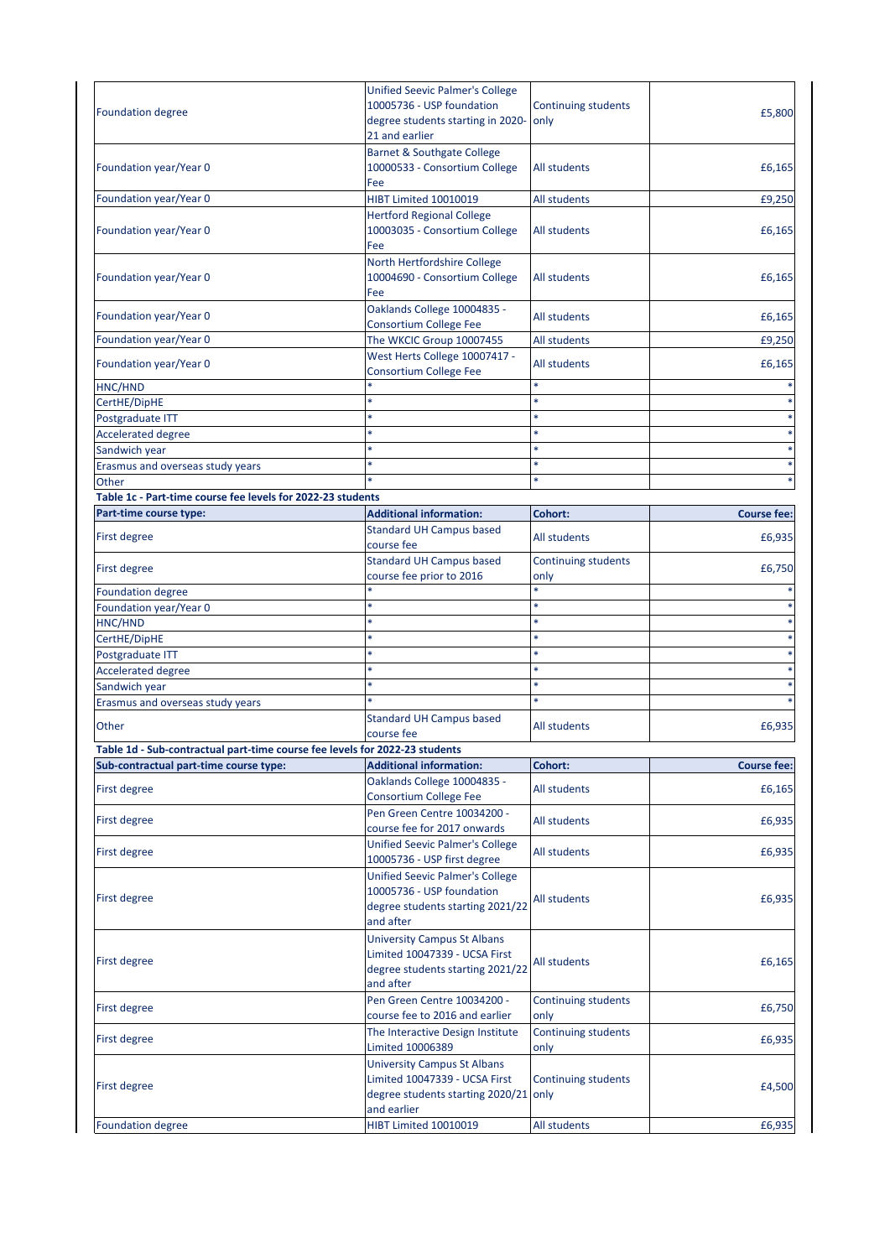| <b>Foundation degree</b>                                                    | <b>Unified Seevic Palmer's College</b><br>10005736 - USP foundation                                                         | Continuing students                | £5,800             |
|-----------------------------------------------------------------------------|-----------------------------------------------------------------------------------------------------------------------------|------------------------------------|--------------------|
|                                                                             | degree students starting in 2020-                                                                                           | only                               |                    |
|                                                                             | 21 and earlier                                                                                                              |                                    |                    |
| Foundation year/Year 0                                                      | <b>Barnet &amp; Southgate College</b><br>10000533 - Consortium College<br>Fee                                               | All students                       | £6,165             |
| Foundation year/Year 0                                                      | HIBT Limited 10010019                                                                                                       | All students                       | £9,250             |
|                                                                             | <b>Hertford Regional College</b>                                                                                            |                                    |                    |
| Foundation year/Year 0                                                      | 10003035 - Consortium College<br>Fee                                                                                        | All students                       | £6,165             |
| Foundation year/Year 0                                                      | North Hertfordshire College<br>10004690 - Consortium College<br>Fee                                                         | All students                       | £6,165             |
| Foundation year/Year 0                                                      | Oaklands College 10004835 -<br><b>Consortium College Fee</b>                                                                | All students                       | £6,165             |
| Foundation year/Year 0                                                      | The WKCIC Group 10007455                                                                                                    | All students                       | £9,250             |
| Foundation year/Year 0                                                      | West Herts College 10007417 -<br><b>Consortium College Fee</b>                                                              | All students                       | £6,165             |
| HNC/HND                                                                     |                                                                                                                             |                                    |                    |
| CertHE/DipHE                                                                |                                                                                                                             |                                    |                    |
| Postgraduate ITT                                                            |                                                                                                                             |                                    |                    |
| <b>Accelerated degree</b>                                                   |                                                                                                                             |                                    |                    |
| Sandwich year                                                               | ×                                                                                                                           |                                    |                    |
| Erasmus and overseas study years                                            | *                                                                                                                           | ×                                  |                    |
| Other                                                                       |                                                                                                                             |                                    |                    |
| Table 1c - Part-time course fee levels for 2022-23 students                 |                                                                                                                             |                                    |                    |
| Part-time course type:                                                      | <b>Additional information:</b>                                                                                              | Cohort:                            | <b>Course fee:</b> |
| First degree                                                                | <b>Standard UH Campus based</b><br>course fee                                                                               | All students                       | £6,935             |
| First degree                                                                | <b>Standard UH Campus based</b><br>course fee prior to 2016                                                                 | Continuing students<br>only        | £6,750             |
| <b>Foundation degree</b>                                                    |                                                                                                                             | *.                                 |                    |
| Foundation year/Year 0                                                      |                                                                                                                             |                                    |                    |
| HNC/HND                                                                     |                                                                                                                             |                                    |                    |
| CertHE/DipHE                                                                |                                                                                                                             |                                    |                    |
| Postgraduate ITT                                                            |                                                                                                                             |                                    |                    |
| <b>Accelerated degree</b>                                                   |                                                                                                                             |                                    |                    |
| Sandwich year                                                               |                                                                                                                             |                                    |                    |
| Erasmus and overseas study years                                            |                                                                                                                             |                                    |                    |
| Other                                                                       | <b>Standard UH Campus based</b><br>course fee                                                                               | All students                       | £6,935             |
| Table 1d - Sub-contractual part-time course fee levels for 2022-23 students |                                                                                                                             |                                    |                    |
| Sub-contractual part-time course type:                                      | <b>Additional information:</b>                                                                                              | Cohort:                            | <b>Course fee:</b> |
| <b>First degree</b>                                                         | Oaklands College 10004835 -<br><b>Consortium College Fee</b>                                                                | All students                       | £6,165             |
| <b>First degree</b>                                                         | Pen Green Centre 10034200 -<br>course fee for 2017 onwards                                                                  | All students                       | £6,935             |
| <b>First degree</b>                                                         | <b>Unified Seevic Palmer's College</b><br>10005736 - USP first degree                                                       | All students                       | £6,935             |
| <b>First degree</b>                                                         | <b>Unified Seevic Palmer's College</b><br>10005736 - USP foundation<br>degree students starting 2021/22<br>and after        | All students                       | £6,935             |
| <b>First degree</b>                                                         | <b>University Campus St Albans</b><br>Limited 10047339 - UCSA First<br>degree students starting 2021/22<br>and after        | All students                       | £6,165             |
| First degree                                                                | Pen Green Centre 10034200 -<br>course fee to 2016 and earlier                                                               | <b>Continuing students</b><br>only | £6,750             |
| First degree                                                                | The Interactive Design Institute<br>Limited 10006389                                                                        | Continuing students<br>only        | £6,935             |
| First degree                                                                | <b>University Campus St Albans</b><br>Limited 10047339 - UCSA First<br>degree students starting 2020/21 only<br>and earlier | <b>Continuing students</b>         | £4,500             |
| <b>Foundation degree</b>                                                    | HIBT Limited 10010019                                                                                                       | All students                       | £6,935             |